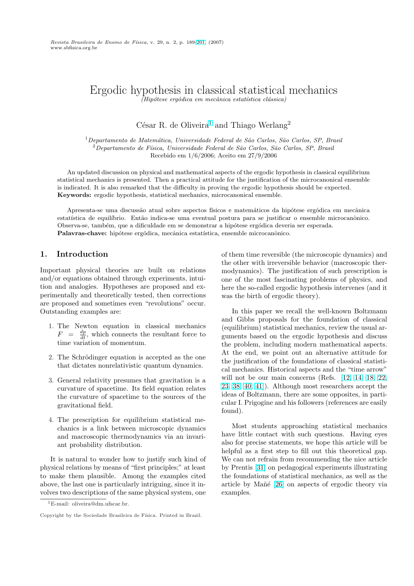# Ergodic hypothesis in classical statistical mechanics

 $(Hipótese ergódica em mecânica estatística clássica)$ 

# César R. de Oliveira<sup>1</sup> and Thiago Werlang<sup>2</sup>

 $1$ Departamento de Matemática, Universidade Federal de São Carlos, São Carlos, SP, Brasil  $2$ Departamento de Física, Universidade Federal de São Carlos, São Carlos, SP, Brasil Recebido em 1/6/2006; Aceito em 27/9/2006

An updated discussion on physical and mathematical aspects of the ergodic hypothesis in classical equilibrium statistical mechanics is presented. Then a practical attitude for the justification of the microcanonical ensemble is indicated. It is also remarked that the difficulty in proving the ergodic hypothesis should be expected. Keywords: ergodic hypothesis, statistical mechanics, microcanonical ensemble.

Apresenta-se uma discussão atual sobre aspectos físicos e matemáticos da hipótese ergódica em mecânica estatística de equilíbrio. Então indica-se uma eventual postura para se justificar o ensemble microcanônico. Observa-se, também, que a dificuldade em se demonstrar a hipótese ergódica deveria ser esperada. Palavras-chave: hipótese ergódica, mecânica estatística, ensemble microcanônico.

## 1. Introduction

Important physical theories are built on relations and/or equations obtained through experiments, intuition and analogies. Hypotheses are proposed and experimentally and theoretically tested, then corrections are proposed and sometimes even "revolutions" occur. Outstanding examples are:

- 1. The Newton equation in classical mechanics  $F = \frac{dp}{dt}$ , which connects the resultant force to time variation of momentum.
- 2. The Schrödinger equation is accepted as the one that dictates nonrelativistic quantum dynamics.
- 3. General relativity presumes that gravitation is a curvature of spacetime. Its field equation relates the curvature of spacetime to the sources of the gravitational field.
- 4. The prescription for equilibrium statistical mechanics is a link between microscopic dynamics and macroscopic thermodynamics via an invariant probability distribution.

It is natural to wonder how to justify such kind of physical relations by means of "first principles;" at least to make them plausible. Among the examples cited above, the last one is particularly intriguing, since it involves two descriptions of the same physical system, one of them time reversible (the microscopic dynamics) and the other with irreversible behavior (macroscopic thermodynamics). The justification of such prescription is one of the most fascinating problems of physics, and here the so-called ergodic hypothesis intervenes (and it was the birth of ergodic theory).

In this paper we recall the well-known Boltzmann and Gibbs proposals for the foundation of classical (equilibrium) statistical mechanics, review the usual arguments based on the ergodic hypothesis and discuss the problem, including modern mathematical aspects. At the end, we point out an alternative attitude for the justification of the foundations of classical statistical mechanics. Historical aspects and the "time arrow" will not be our main concerns (Refs. [12, 14, 18, 22, 23, 38, 40, 41]). Although most researchers accept the ideas of Boltzmann, there are some opposites, in particular I. Prigogine and his followers (references are easily found).

[Most stud](#page-12-0)ents approaching statistical mechanics have little contact with such questions. Having eyes also for precise statements, we hope this article will be helpful as a first step to fill out this theoretical gap. We can not refrain from recommending the nice article by Prentis [31] on pedagogical experiments illustrating the foundations of statistical mechanics, as well as the article by Mañé [26] on aspects of ergodic theory via examples.

<sup>&</sup>lt;sup>1</sup>E-mail: oliveira@dm.ufscar.br.

Copyright by the Sociedade Brasileira de Física. Printed in Brazil.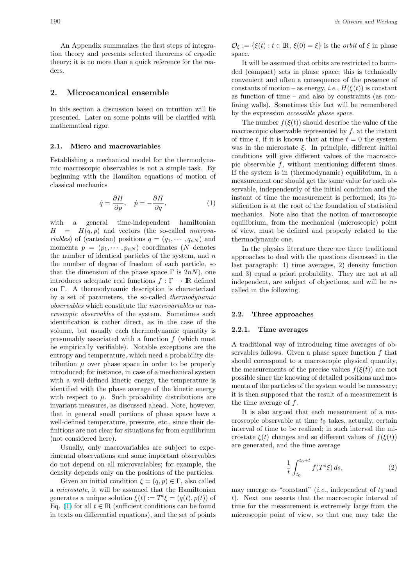<span id="page-1-0"></span>An Appendix summarizes the first steps of integration theory and presents selected theorems of ergodic theory; it is no more than a quick reference for the readers.

## 2. Microcanonical ensemble

In this section a discussion based on intuition will be presented. Later on some points will be clarified with mathematical rigor.

#### 2.1. Micro and macrovariables

Establishing a mechanical model for the thermodynamic macroscopic observables is not a simple task. By beginning with the Hamilton equations of motion of classical mechanics

$$
\dot{q} = \frac{\partial H}{\partial p}, \quad \dot{p} = -\frac{\partial H}{\partial q}, \tag{1}
$$

with a general time-independent hamiltonian  $H = H(q, p)$  and vectors (the so-called *microvariables*) of (cartesian) positions  $q = (q_1, \dots, q_{nN})$  and momenta  $p = (p_1, \dots, p_{nN})$  coordinates (N denotes the number of identical particles of the system, and  $n$ the number of degree of freedom of each particle, so that the dimension of the phase space  $\Gamma$  is  $2nN$ ), one introduces adequate real functions  $f : \Gamma \to \mathbb{R}$  defined on Γ. A thermodynamic description is characterized by a set of parameters, the so-called thermodynamic observables which constitute the macrovariables or macroscopic observables of the system. Sometimes such identification is rather direct, as in the case of the volume, but usually each thermodynamic quantity is presumably associated with a function  $f$  (which must be empirically verifiable). Notable exceptions are the entropy and temperature, which need a probability distribution  $\mu$  over phase space in order to be properly introduced; for instance, in case of a mechanical system with a well-defined kinetic energy, the temperature is identified with the phase average of the kinetic energy with respect to  $\mu$ . Such probability distributions are invariant measures, as discussed ahead. Note, however, that in general small portions of phase space have a well-defined temperature, pressure, etc., since their definitions are not clear for situations far from equilibrium (not considered here).

Usually, only macrovariables are subject to experimental observations and some important observables do not depend on all microvariables; for example, the density depends only on the positions of the particles.

Given an initial condition  $\xi = (q, p) \in \Gamma$ , also called a microstate, it will be assumed that the Hamiltonian generates a unique solution  $\xi(t) := T^t \xi = (q(t), p(t))$  of Eq. (1) for all  $t \in \mathbb{R}$  (sufficient conditions can be found in texts on differential equations), and the set of points  $\mathcal{O}_{\xi} := {\xi(t) : t \in \mathbb{R}, \xi(0) = \xi}$  is the *orbit* of  $\xi$  in phase space.

It will be assumed that orbits are restricted to bounded (compact) sets in phase space; this is technically convenient and often a consequence of the presence of constants of motion – as energy, *i.e.*,  $H(\xi(t))$  is constant as function of time – and also by constraints (as confining walls). Sometimes this fact will be remembered by the expression accessible phase space.

The number  $f(\xi(t))$  should describe the value of the macroscopic observable represented by  $f$ , at the instant of time t, if it is known that at time  $t = 0$  the system was in the microstate  $\xi$ . In principle, different initial conditions will give different values of the macroscopic observable  $f$ , without mentioning different times. If the system is in (thermodynamic) equilibrium, in a measurement one should get the same value for each observable, independently of the initial condition and the instant of time the measurement is performed; its justification is at the root of the foundation of statistical mechanics. Note also that the notion of macroscopic equilibrium, from the mechanical (microscopic) point of view, must be defined and properly related to the thermodynamic one.

In the physics literature there are three traditional approaches to deal with the questions discussed in the last paragraph: 1) time averages, 2) density function and 3) equal a priori probability. They are not at all independent, are subject of objections, and will be recalled in the following.

#### 2.2. Three approaches

#### 2.2.1. Time averages

A traditional way of introducing time averages of observables follows. Given a phase space function  $f$  that should correspond to a macroscopic physical quantity, the measurements of the precise values  $f(\xi(t))$  are not possible since the knowing of detailed positions and momenta of the particles of the system would be necessary; it is then supposed that the result of a measurement is the time average of  $f$ .

It is also argued that each measurement of a macroscopic observable at time  $t_0$  takes, actually, certain interval of time to be realized; in such interval the microstate  $\xi(t)$  changes and so different values of  $f(\xi(t))$ are generated, and the time average

$$
\frac{1}{t} \int_{t_0}^{t_0+t} f(T^s \xi) \, ds,\tag{2}
$$

may emerge as "constant" (*i.e.*, independent of  $t_0$  and t). Next one asserts that the macroscopic interval of time for the measurement is extremely large from the microscopic point of view, so that one may take the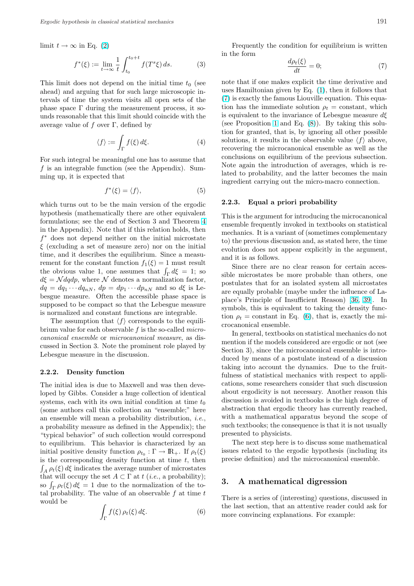<span id="page-2-0"></span>limit  $t \to \infty$  in Eq. (2)

$$
f^*(\xi) := \lim_{t \to \infty} \frac{1}{t} \int_{t_0}^{t_0 + t} f(T^s \xi) ds.
$$
 (3)

This limit does not [de](#page-1-0)pend on the initial time  $t_0$  (see ahead) and arguing that for such large microscopic intervals of time the system visits all open sets of the phase space  $\Gamma$  during the measurement process, it sounds reasonable that this limit should coincide with the average value of f over Γ, defined by

$$
\langle f \rangle := \int_{\Gamma} f(\xi) \, d\xi. \tag{4}
$$

For such integral be meaningful one has to assume that f is an integrable function (see the Appendix). Summing up, it is expected that

$$
f^*(\xi) = \langle f \rangle,\tag{5}
$$

which turns out to be the main version of the ergodic hypothesis (mathematically there are other equivalent formulations; see the end of Section 3 and Theorem 4 in the Appendix). Note that if this relation holds, then f <sup>∗</sup> does not depend neither on the initial microstate  $\xi$  (excluding a set of measure zero) nor on the initial time, and it describes the equilibrium. Since a meas[u](#page-11-0)rement for the constant function  $f_1(\xi) = 1$  must result rement for the constant function  $f_1(\xi) = 1$  must result<br>the obvious value 1, one assumes that  $\int_{\Gamma} d\xi = 1$ ; so  $d\xi = N dq dp$ , where N denotes a normalization factor,  $dq = dq_1 \cdots dq_{nN}, dp = dp_1 \cdots dp_{nN}$  and so  $d\xi$  is Lebesgue measure. Often the accessible phase space is supposed to be compact so that the Lebesgue measure is normalized and constant functions are integrable.

The assumption that  $\langle f \rangle$  corresponds to the equilibrium value for each observable  $f$  is the so-called  $micro$ canonical ensemble or microcanonical measure, as discussed in Section 3. Note the prominent role played by Lebesgue measure in the discussion.

#### 2.2.2. Density function

The initial idea is due to Maxwell and was then developed by Gibbs. Consider a huge collection of identical systems, each with its own initial condition at time  $t_0$ (some authors call this collection an "ensemble;" here an ensemble will mean a probability distribution, i.e., a probability measure as defined in the Appendix); the "typical behavior" of such collection would correspond to equilibrium. This behavior is characterized by an initial positive density function  $\rho_{t_0} : \Gamma \to \mathbb{R}_+$ . If  $\rho_t(\xi)$ is the corresponding density function at time  $t$ , then  $\int_A \rho_t(\xi) d\xi$  indicates the average number of microstates that will occupy the set  $A \subset \Gamma$  at  $t$  (*i.e.*, a probability); that will occupy the set  $A \subseteq I$  at  $t$  (*i.e.*, a probability);<br>so  $\int_{\Gamma} \rho_t(\xi) d\xi = 1$  due to the normalization of the total probability. The value of an observable  $f$  at time  $t$ would be

$$
\int_{\Gamma} f(\xi) \, \rho_t(\xi) \, d\xi. \tag{6}
$$

Frequently the condition for equilibrium is written in the form

$$
\frac{d\rho_t(\xi)}{dt} = 0;\t\t(7)
$$

note that if one makes explicit the time derivative and uses Hamiltonian given by Eq. (1), then it follows that (7) is exactly the famous Liouville equation. This equation has the immediate solution  $\rho_t = constant$ , which is equivalent to the invariance of Lebesgue measure  $d\xi$ (see Proposition 1 and Eq. (8)[\).](#page-1-0) By taking this solution for granted, that is, by ignoring all other possible solutions, it results in the observable value  $\langle f \rangle$  above, recovering the microcanonical ensemble as well as the conclusions on e[qu](#page-10-0)ilibrium o[f t](#page-3-0)he previous subsection. Note again the introduction of averages, which is related to probability, and the latter becomes the main ingredient carrying out the micro-macro connection.

#### 2.2.3. Equal a priori probability

This is the argument for introducing the microcanonical ensemble frequently invoked in textbooks on statistical mechanics. It is a variant of (sometimes complementary to) the previous discussion and, as stated here, the time evolution does not appear explicitly in the argument, and it is as follows.

Since there are no clear reason for certain accessible microstates be more probable than others, one postulates that for an isolated system all microstates are equally probable (maybe under the influence of Laplace's Principle of Insufficient Reason) [36, 39]. In symbols, this is equivalent to taking the density function  $\rho_t$  = constant in Eq. (6), that is, exactly the microcanonical ensemble.

In general, textbooks on statistical mec[hanics d](#page-12-0)o not mention if the models considered are ergodic or not (see Section 3), since the microcanonical ensemble is introduced by means of a postulate instead of a discussion taking into account the dynamics. Due to the fruitfulness of statistical mechanics with respect to applications, some researchers consider that such discussion about ergodicity is not necessary. Another reason this discussion is avoided in textbooks is the high degree of abstraction that ergodic theory has currently reached, with a mathematical apparatus beyond the scope of such textbooks; the consequence is that it is not usually presented to physicists.

The next step here is to discuss some mathematical issues related to the ergodic hypothesis (including its precise definition) and the microcanonical ensemble.

## 3. A mathematical digression

There is a series of (interesting) questions, discussed in the last section, that an attentive reader could ask for more convincing explanations. For example: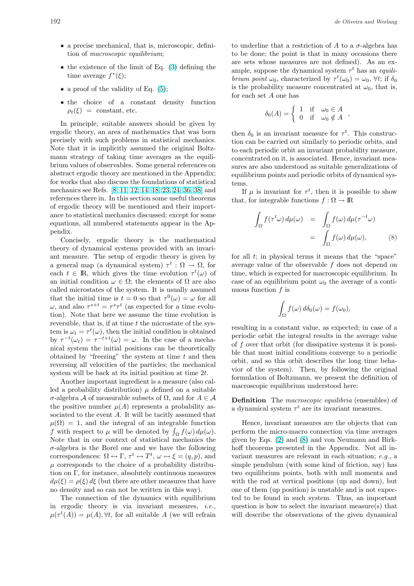- <span id="page-3-0"></span>• a precise mechanical, that is, microscopic, definition of macroscopic equilibrium;
- $\bullet$  the existence of the limit of Eq. (3) defining the time average  $f^*(\xi)$ ;
- a proof of the validity of Eq.  $(5)$ ;
- the choice of a constant de[ns](#page-2-0)ity function  $\rho_t(\xi) = \text{constant}, \text{etc.}$

In principle, suitable answers s[ho](#page-2-0)uld be given by ergodic theory, an area of mathematics that was born precisely with such problems in statistical mechanics. Note that it is implicitly assumed the original Boltzmann strategy of taking time averages as the equilibrium values of observables. Some general references on abstract ergodic theory are mentioned in the Appendix; for works that also discuss the foundations of statistical mechanics see Refs. [8, 11, 12, 14, 18, 23, 24, 36, 38] and references there in. In this section some useful theorems of ergodic theory will be mentioned and their importance to statistical mechanics discussed; except for some equations, all numb[ered statements](#page-11-0) [appear](#page-11-0) [in](#page-12-0) [the](#page-12-0) Appendix.

Concisely, ergodic theory is the mathematical theory of dynamical systems provided with an invariant measure. The setup of ergodic theory is given by a general map (a dynamical system)  $\tau^t : \Omega \to \Omega$ , for each  $t \in \mathbb{R}$ , which gives the time evolution  $\tau^t(\omega)$  of an initial condition  $\omega \in \Omega$ ; the elements of  $\Omega$  are also called microstates of the system. It is usually assumed that the initial time is  $t = 0$  so that  $\tau^{0}(\omega) = \omega$  for all  $\omega$ , and also  $\tau^{s+t} = \tau^s \tau^t$  (as expected for a time evolution). Note that here we assume the time evolution is reversible, that is, if at time  $t$  the microstate of the system is  $\omega_t = \tau^t(\omega)$ , then the initial condition is obtained by  $\tau^{-t}(\omega_t) = \tau^{-t+t}(\omega) = \omega$ . In the case of a mechanical system the initial positions can be theoretically obtained by "freezing" the system at time  $t$  and then reversing all velocities of the particles; the mechanical system will be back at its initial position at time 2t.

Another important ingredient is a measure (also called a probability distribution)  $\mu$  defined on a suitable σ-algebra A of measurable subsets of Ω, and for A ∈ A the positive number  $\mu(A)$  represents a probability associated to the event A. It will be tacitly assumed that  $\mu(\Omega) = 1$ , and the integral of an integrable function  $\mu(x) = 1$ , and the integral or an integrable function<br>f with respect to  $\mu$  will be denoted by  $\int_{\Omega} f(\omega) d\mu(\omega)$ . Note that in our context of statistical mechanics the  $\sigma$ -algebra is the Borel one and we have the following correspondences:  $\Omega \leftrightarrow \Gamma$ ,  $\tau^t \leftrightarrow T^t$ ,  $\omega \leftrightarrow \xi = (q, p)$ , and  $\mu$  corresponds to the choice of a probability distribution on Γ, for instance, absolutely continuous measures  $d\mu(\xi) = \rho(\xi) d\xi$  (but there are other measures that have no density and so can not be written in this way).

The connection of the dynamics with equilibrium in ergodic theory is via invariant measures, i.e.,  $\mu(\tau^t(A)) = \mu(A), \forall t$ , for all suitable A (we will refrain to underline that a restriction of A to a  $\sigma$ -algebra has to be done; the point is that in many occasions there are sets whose measures are not defined). As an example, suppose the dynamical system  $\tau^t$  has an *equili*brium point  $\omega_0$ , characterized by  $\tau^t(\omega_0) = \omega_0$ ,  $\forall t$ ; if  $\delta_0$ is the probability measure concentrated at  $\omega_0$ , that is, for each set A one has

,

$$
\delta_0(A) = \begin{cases} 1 & \text{if } \omega_0 \in A \\ 0 & \text{if } \omega_0 \notin A \end{cases}
$$

then  $\delta_0$  is an invariant measure for  $\tau^t$ . This construction can be carried out similarly to periodic orbits, and to each periodic orbit an invariant probability measure, concentrated on it, is associated. Hence, invariant measures are also understood as suitable generalizations of equilibrium points and periodic orbits of dynamical systems.

If  $\mu$  is invariant for  $\tau^t$ , then it is possible to show that, for integrable functions  $f : \Omega \to \mathbb{R}$ 

$$
\int_{\Omega} f(\tau^t \omega) d\mu(\omega) = \int_{\Omega} f(\omega) d\mu(\tau^{-t} \omega)
$$

$$
= \int_{\Omega} f(\omega) d\mu(\omega), \qquad (8)
$$

for all  $t$ ; in physical terms it means that the "space" average value of the observable  $f$  does not depend on time, which is expected for macroscopic equilibrium. In case of an equilibrium point  $\omega_0$  the average of a continuous function  $f$  is

$$
\int_{\Omega} f(\omega) d\delta_0(\omega) = f(\omega_0),
$$

resulting in a constant value, as expected; in case of a periodic orbit the integral results in the average value of f over that orbit (for dissipative systems it is possible that most initial conditions converge to a periodic orbit, and so this orbit describes the long time behavior of the system). Then, by following the original formulation of Boltzmann, we present the definition of macroscopic equilibrium understood here:

Definition The macroscopic equilibria (ensembles) of a dynamical system  $\tau^t$  are its invariant measures.

Hence, invariant measures are the objects that can perform the micro-macro connection via time averages given by Eqs. (2) and (8) and von Neumann and Birkhoff theorems presented in the Appendix. Not all invariant measures are relevant in each situation; e.g., a simple pendulum (with some kind of friction, say) has two equilibriu[m](#page-1-0) points, both with null momenta and with the rod at vertical positions (up and down), but one of them (up position) is unstable and is not expected to be found in such system. Thus, an important question is how to select the invariant measure(s) that will describe the observations of the given dynamical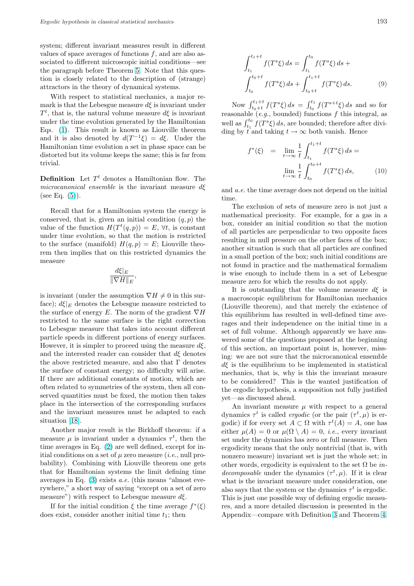system; different invariant measures result in different values of space averages of functions  $f$ , and are also associated to different microscopic initial conditions—see the paragraph before Theorem 5. Note that this question is closely related to the description of (strange) attractors in the theory of dynamical systems.

With respect to statistical mechanics, a major remark is that the Lebesgue meas[ur](#page-11-0)e  $d\xi$  is invariant under  $T<sup>t</sup>$ , that is, the natural volume measure  $d\xi$  is invariant under the time evolution generated by the Hamiltonian Eqs. (1). This result is known as Liouville theorem and it is also denoted by  $d(T^{-1}\xi) = d\xi$ . Under the Hamiltonian time evolution a set in phase space can be distorted but its volume keeps the same; this is far from trivial.

**Definition** Let  $T<sup>t</sup>$  denotes a Hamiltonian flow. The microcanonical ensemble is the invariant measure  $d\xi$ (see Eq.  $(5)$ ).

Recall that for a Hamiltonian system the energy is conserved, that is, given an initial condition  $(q, p)$  the value of t[he](#page-2-0) function  $H(T^t(q,p)) = E$ ,  $\forall t$ , is constant under time evolution, so that the motion is restricted to the surface (manifold)  $H(q, p) = E$ ; Liouville theorem then implies that on this restricted dynamics the measure

$$
\frac{d\xi|_E}{\|\nabla H\|_E},
$$

is invariant (under the assumption  $\nabla H \neq 0$  in this surface);  $d\xi|_E$  denotes the Lebesgue measure restricted to the surface of energy E. The norm of the gradient  $\nabla H$ restricted to the same surface is the right correction to Lebesgue measure that takes into account different particle speeds in different portions of energy surfaces. However, it is simpler to proceed using the measure  $d\xi$ , and the interested reader can consider that  $d\xi$  denotes the above restricted measure, and also that  $\Gamma$  denotes the surface of constant energy; no difficulty will arise. If there are additional constants of motion, which are often related to symmetries of the system, then all conserved quantities must be fixed, the motion then takes place in the intersection of the corresponding surfaces and the invariant measures must be adapted to each situation [18].

Another major result is the Birkhoff theorem: if a measure  $\mu$  is invariant under a dynamics  $\tau^t$ , then the time averages in Eq. (2) are well defined, except for initial condi[tion](#page-11-0)s on a set of  $\mu$  zero measure *(i.e., null pro*bability). Combining with Liouville theorem one gets that for Hamiltonian systems the limit defining time averages in Eq. (3) ex[is](#page-1-0)ts a.e. (this means "almost everywhere," a short way of saying "except on a set of zero measure") with respect to Lebesgue measure  $d\xi$ .

If for the initial condition  $\xi$  the time average  $f^*(\xi)$ does exist, consi[de](#page-2-0)r another initial time  $t_1$ ; then

$$
\int_{t_1}^{t_1+t} f(T^s \xi) ds = \int_{t_1}^{t_0} f(T^s \xi) ds +
$$
  

$$
\int_{t_0}^{t_0+t} f(T^s \xi) ds + \int_{t_0+t}^{t_1+t} f(T^s \xi) ds.
$$
 (9)

Now  $\int_{t_0+t}^{t_1+t} f(T^s \xi) ds = \int_{t_0}^{t_1}$  $t_0^{t_1} f(T^{s+t} \xi) ds$  and so for reasonable (e.g., bounded) functions  $f$  this integral, as reasonable (*e.g.*, bounded) functions f this integral, as<br>well as  $\int_{t_1}^{t_0} f(T^s \xi) ds$ , are bounded; therefore after dividing by t and taking  $t \to \infty$  both vanish. Hence

$$
f^*(\xi) = \lim_{t \to \infty} \frac{1}{t} \int_{t_1}^{t_1 + t} f(T^s \xi) ds =
$$
  

$$
\lim_{t \to \infty} \frac{1}{t} \int_{t_0}^{t_0 + t} f(T^s \xi) ds, \qquad (10)
$$

and a.e. the time average does not depend on the initial time.

The exclusion of sets of measure zero is not just a mathematical preciosity. For example, for a gas in a box, consider an initial condition so that the motion of all particles are perpendicular to two opposite faces resulting in null pressure on the other faces of the box; another situation is such that all particles are confined in a small portion of the box; such initial conditions are not found in practice and the mathematical formalism is wise enough to include them in a set of Lebesgue measure zero for which the results do not apply.

It is outstanding that the volume measure  $d\xi$  is a macroscopic equilibrium for Hamiltonian mechanics (Liouville theorem), and that merely the existence of this equilibrium has resulted in well-defined time averages and their independence on the initial time in a set of full volume. Although apparently we have answered some of the questions proposed at the beginning of this section, an important point is, however, missing: we are not sure that the microcanonical ensemble  $d\xi$  is the equilibrium to be implemented in statistical mechanics, that is, why is this the invariant measure to be considered? This is the wanted justification of the ergodic hypothesis, a supposition not fully justified yet—as discussed ahead.

An invariant measure  $\mu$  with respect to a general dynamics  $\tau^t$  is called *ergodic* (or the pair  $(\tau^t, \mu)$  is ergodic) if for every set  $A \subset \Omega$  with  $\tau^t(A) = A$ , one has either  $\mu(A) = 0$  or  $\mu(\Omega \setminus A) = 0$ , *i.e.*, every invariant set under the dynamics has zero or full measure. Then ergodicity means that the only nontrivial (that is, with nonzero measure) invariant set is just the whole set; in other words, ergodicity is equivalent to the set  $\Omega$  be *in*decomposable under the dynamics  $(\tau^t, \mu)$ . If it is clear what is the invariant measure under consideration, one also says that the system or the dynamics  $\tau^t$  is ergodic. This is just one possible way of defining ergodic measures, and a more detailed discussion is presented in the Appendix—compare with Definition 3 and Theorem 4.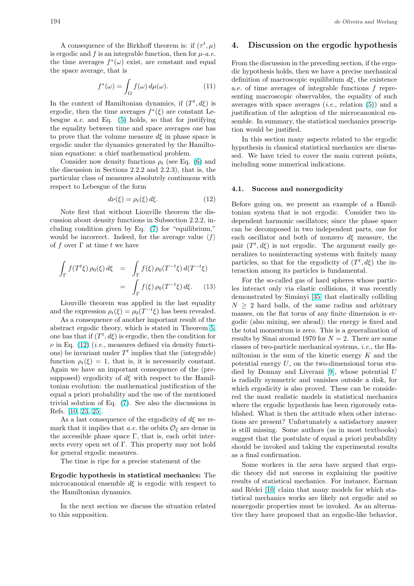<span id="page-5-0"></span>A consequence of the Birkhoff theorem is: if  $(\tau^t, \mu)$ is ergodic and f is an integrable function, then for  $\mu$ -a.e. the time averages  $f^*(\omega)$  exist, are constant and equal the space average, that is

$$
f^*(\omega) = \int_{\Omega} f(\omega) d\mu(\omega).
$$
 (11)

In the context of Hamiltonian dynamics, if  $(T^t, d\xi)$  is ergodic, then the time averages  $f^*(\xi)$  are constant Lebesgue *a.e.* and Eq.  $(5)$  holds, so that for justifying the equality between time and space averages one has to prove that the volume measure  $d\xi$  in phase space is ergodic under the dynamics generated by the Hamiltonian equations: a chief [m](#page-2-0)athematical problem.

Consider now density functions  $\rho_t$  (see Eq. (6) and the discussion in Sections 2.2.2 and 2.2.3), that is, the particular class of measures absolutely continuous with respect to Lebesgue of the form

$$
d\nu(\xi) = \rho_t(\xi) d\xi.
$$
 (12)

Note first that without Liouville theorem the discussion about density functions in Subsection 2.2.2, including condition given by Eq. (7) for "equilibrium," would be incorrect. Indeed, for the average value  $\langle f \rangle$ of f over  $\Gamma$  at time t we have

$$
\int_{\Gamma} f(T^t \xi) \, \rho_0(\xi) \, d\xi = \int_{\Gamma} f(\xi) \, \rho_0(T^{-t} \xi) \, d(T^{-t} \xi) \\
= \int_{\Gamma} f(\xi) \, \rho_0(T^{-t} \xi) \, d\xi. \tag{13}
$$

Liouville theorem was applied in the last equality and the expression  $\rho_t(\xi) = \rho_0(T^{-t}\xi)$  has been revealed.

As a consequence of another important result of the abstract ergodic theory, which is stated in Theorem 5, one has that if  $(T^t, d\xi)$  is ergodic, then the condition for  $\nu$  in Eq. (12) (*i.e.*, measures defined via density functions) be invariant under  $T<sup>t</sup>$  implies that the (integrable) function  $\rho_t(\xi) = 1$ , that is, it is necessarily consta[nt.](#page-11-0) Again we have an important consequence of the (presupposed) ergodicity of  $d\xi$  with respect to the Hamiltonian evolution: the mathematical justification of the equal a priori probability and the use of the mentioned trivial solution of Eq. (7). See also the discussions in Refs. [10, 23, 25].

As a last consequence of the ergodicity of  $d\xi$  we remark that it implies that a.e. the orbits  $\mathcal{O}_{\xi}$  are dense in the accessible phase sp[ace](#page-2-0)  $\Gamma$ , that is, each orbit intersects [every o](#page-11-0)[pen](#page-12-0) set of Γ. This property may not hold for general ergodic measures.

The time is ripe for a precise statement of the

Ergodic hypothesis in statistical mechanics: The microcanonical ensemble  $d\xi$  is ergodic with respect to the Hamiltonian dynamics.

In the next section we discuss the situation related to this supposition.

## 4. Discussion on the ergodic hypothesis

From the discussion in the preceding section, if the ergodic hypothesis holds, then we have a precise mechanical definition of macroscopic equilibrium  $d\xi$ , the existence a.e. of time averages of integrable functions f representing macroscopic observables, the equality of such averages with space averages  $(i.e.,$  relation  $(5)$  and a justification of the adoption of the microcanonical ensemble. In summary, the statistical mechanics prescription would be justified.

In this section many aspects related to t[he](#page-2-0) ergodic hypothesis in classical statistical mechanics are discussed. We have tried to cover the main current points, including some numerical indications.

#### 4.1. Success and nonergodicity

Before going on, we present an example of a Hamiltonian system that is not ergodic. Consider two independent harmonic oscillators; since the phase space can be decomposed in two independent parts, one for each oscillator and both of nonzero  $d\xi$  measure, the pair  $(T^t, d\xi)$  is not ergodic. The argument easily generalizes to noninteracting systems with finitely many particles, so that for the ergodicity of  $(T^t, d\xi)$  the interaction among its particles is fundamental.

For the so-called gas of hard spheres whose particles interact only via elastic collisions, it was recently demonstrated by Sim´anyi [35] that elastically colliding  $N \geq 2$  hard balls, of the same radius and arbitrary masses, on the flat torus of any finite dimension is ergodic (also mixing, see ahead); the energy is fixed and the total momentum is zer[o. T](#page-12-0)his is a generalization of results by Sinai around 1970 for  $N = 2$ . There are some classes of two-particle mechanical systems, i.e., the Hamiltonian is the sum of the kinetic energy  $K$  and the potential energy  $U$ , on the two-dimensional torus studied by Donnay and Liverani  $[9]$ , whose potential U is radially symmetric and vanishes outside a disk, for which ergodicity is also proved. These can be considered the most realistic models in statistical mechanics where the ergodic hypothesis h[as](#page-11-0) been rigorously established. What is then the attitude when other interactions are present? Unfortunately a satisfactory answer is still missing. Some authors (as in most textbooks) suggest that the postulate of equal a priori probability should be invoked and taking the experimental results as a final confirmation.

Some workers in the area have argued that ergodic theory did not success in explaining the positive results of statistical mechanics. For instance, Earman and Rédei [10] claim that many models for which statistical mechanics works are likely not ergodic and so nonergodic properties must be invoked. As an alternative they have proposed that an ergodic-like behavior,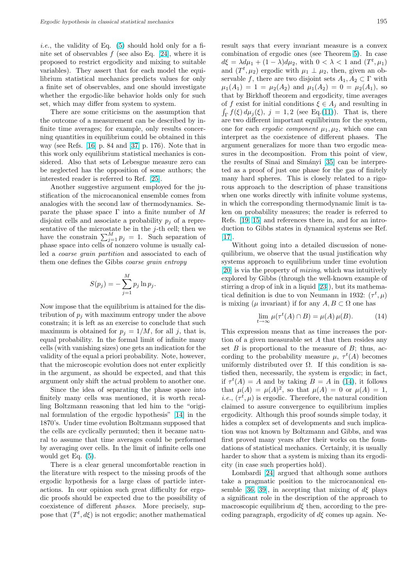*i.e.*, the validity of Eq.  $(5)$  should hold only for a finite set of observables  $f$  (see also Eq. [24], where it is proposed to restrict ergodicity and mixing to suitable variables). They assert that for each model the equilibrium statistical mecha[nic](#page-2-0)s predicts values for only a finite set of observables, and one sh[ould](#page-11-0) investigate whether the ergodic-like behavior holds only for such set, which may differ from system to system.

There are some criticisms on the assumption that the outcome of a measurement can be described by infinite time averages; for example, only results concerning quantities in equilibrium could be obtained in this way (see Refs. [16] p. 84 and [37] p. 176). Note that in this work only equilibrium statistical mechanics is considered. Also that sets of Lebesgue measure zero can be neglected has the opposition of some authors; the interested read[er is](#page-11-0) referred t[o R](#page-12-0)ef. [25].

Another suggestive argument employed for the justification of the microcanonical ensemble comes from analogies with the second law of thermodynamics. Separate the phase space  $\Gamma$  into a fi[nite](#page-12-0) number of M disjoint cells and associate a probability  $p_i$  of a representative of the microstate be in the  $j$ -th cell; then we sentative of the microscale be in the *j*-th cent, then we<br>have the constrain  $\sum_{j=1}^{M} p_j = 1$ . Such separation of phase space into cells of nonzero volume is usually called a coarse grain partition and associated to each of them one defines the Gibbs coarse grain entropy

$$
S(p_j) = -\sum_{j=1}^{M} p_j \ln p_j.
$$

Now impose that the equilibrium is attained for the distribution of  $p_i$  with maximum entropy under the above constrain; it is left as an exercise to conclude that such maximum is obtained for  $p_j = 1/M$ , for all j, that is, equal probability. In the formal limit of infinite many cells (with vanishing sizes) one gets an indication for the validity of the equal a priori probability. Note, however, that the microscopic evolution does not enter explicitly in the argument, as should be expected, and that this argument only shift the actual problem to another one.

Since the idea of separating the phase space into finitely many cells was mentioned, it is worth recalling Boltzmann reasoning that led him to the "original formulation of the ergodic hypothesis" [14] in the 1870's. Under time evolution Boltzmann supposed that the cells are cyclically permuted; then it became natural to assume that time averages could be performed by averaging over cells. In the limit of infinit[e ce](#page-11-0)lls one would get Eq. (5).

There is a clear general uncomfortable reaction in the literature with respect to the missing proofs of the ergodic hypothesis for a large class of particle interactions. In ou[r o](#page-2-0)pinion such great difficulty for ergodic proofs should be expected due to the possibility of coexistence of different phases. More precisely, suppose that  $(T^t, d\xi)$  is not ergodic; another mathematical

result says that every invariant measure is a convex combination of ergodic ones (see Theorem 5). In case  $d\xi = \lambda d\mu_1 + (1 - \lambda)d\mu_2$ , with  $0 < \lambda < 1$  and  $(T^t, \mu_1)$ and  $(T^t, \mu_2)$  ergodic with  $\mu_1 \perp \mu_2$ , then, given an observable f, there are two disjoint sets  $A_1, A_2 \subset \Gamma$  with  $\mu_1(A_1) = 1 = \mu_2(A_2)$  and  $\mu_1(A_2) = 0 = \mu_2(A_1)$ , so that by Birkhoff theorem and ergodicity, time averages of f exist for initial conditions  $\xi \in A_j$  and resulting in  $\Gamma_{\Gamma} f(\xi) d\mu_j(\xi), j = 1, 2$  (see Eq.(11)). That is, there are two different important equilibrium for the system, one for each *ergodic component*  $\mu_1, \mu_2$ , which one can interpret as the coexistence of different phases. The argument generalizes for more t[han](#page-5-0) two ergodic measures in the decomposition. From this point of view, the results of Sinai and Simányi [35] can be interpreted as a proof of just one phase for the gas of finitely many hard spheres. This is closely related to a rigorous approach to the description of phase transitions when one works directly with infi[nite](#page-12-0) volume systems, in which the corresponding thermodynamic limit is taken on probability measures; the reader is referred to Refs. [19, 15] and references there in, and for an introduction to Gibbs states in dynamical systems see Ref. [17].

Without going into a detailed discussion of nonequilib[rium, w](#page-11-0)e observe that the usual justification why systems approach to equilibrium under time evolution [\[20\]](#page-11-0) is via the property of mixing, which was intuitively explored by Gibbs (through the well-known example of stirring a drop of ink in a liquid [23]), but its mathematical definition is due to von Neumann in 1932:  $(\tau^t, \mu)$ [is m](#page-11-0)ixing ( $\mu$  invariant) if for any  $A, B \subset \Omega$  one has

$$
\lim_{t \to \infty} \mu(\tau^t(A) \cap B) = \mu(A) \mu(B). \tag{14}
$$

This expression means that as time increases the portion of a given measurable set A that then resides any set  $B$  is proportional to the measure of  $B$ ; thus, according to the probability measure  $\mu$ ,  $\tau^t(A)$  becomes uniformly distributed over  $\Omega$ . If this condition is satisfied then, necessarily, the system is ergodic; in fact, if  $\tau^t(A) = A$  and by taking  $B = A$  in (14), it follows that  $\mu(A) = \mu(A)^2$ , so that  $\mu(A) = 0$  or  $\mu(A) = 1$ , *i.e.*,  $(\tau^t, \mu)$  is ergodic. Therefore, the natural condition claimed to assure convergence to equilibrium implies ergodicity. Although this proof sounds simple today, it hides a complex set of developments and such implication was not known by Boltzmann and Gibbs, and was first proved many years after their works on the foundations of statistical mechanics. Certainly, it is usually harder to show that a system is mixing than its ergodicity (in case such properties hold).

Lombardi [24] argued that although some authors take a pragmatic position to the microcanonical ensemble [36, 39], in accepting that mixing of  $d\xi$  plays a significant role in the description of the approach to macroscopic e[quil](#page-11-0)ibrium  $d\xi$  then, according to the preceding paragraph, ergodicity of  $d\xi$  comes up again. Ne-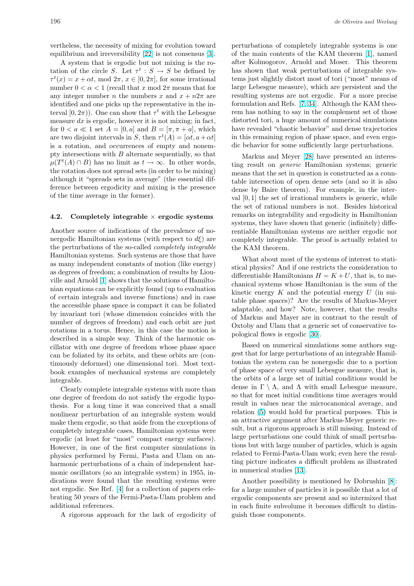vertheless, the necessity of mixing for evolution toward equilibrium and irreversibility [22] is not consensus [3].

A system that is ergodic but not mixing is the rotation of the circle S. Let  $\tau^t : S \to S$  be defined by  $\tau^t(x) = x + \alpha t$ , mod  $2\pi$ ,  $x \in [0, 2\pi]$ , for some irrational nu[m](#page-11-0)ber  $0 < \alpha < 1$  (recall that x mod  $2\pi$  means that [fo](#page-11-0)r any integer number *n* the numbers x and  $x + n2\pi$  are identified and one picks up the representative in the interval  $(0, 2\pi)$ ). One can show that  $\tau^t$  with the Lebesgue measure  $dx$  is ergodic, however it is not mixing; in fact, for  $0 < a \ll 1$  set  $A = [0, a]$  and  $B = [\pi, \pi + a]$ , which are two disjoint intervals in S, then  $\tau^t(A) = [\alpha t, a + \alpha t]$ is a rotation, and occurrences of empty and nonempty intersections with  $B$  alternate sequentially, so that  $\mu(T^t(A) \cap B)$  has no limit as  $t \to \infty$ . In other words, the rotation does not spread sets (in order to be mixing) although it "spreads sets in average" (the essential difference between ergodicity and mixing is the presence of the time average in the former).

### 4.2. Completely integrable  $\times$  ergodic systems

Another source of indications of the prevalence of nonergodic Hamiltonian systems (with respect to  $d\xi$ ) are the perturbations of the so-called completely integrable Hamiltonian systems. Such systems are those that have as many independent constants of motion (like energy) as degrees of freedom; a combination of results by Liouville and Arnold [1] shows that the solutions of Hamiltonian equations can be explicitly found (up to evaluation of certain integrals and inverse functions) and in case the accessible phase space is compact it can be foliated by invariant tori [\(](#page-11-0)whose dimension coincides with the number of degrees of freedom) and each orbit are just rotations in a torus. Hence, in this case the motion is described in a simple way. Think of the harmonic oscillator with one degree of freedom whose phase space can be foliated by its orbits, and these orbits are (continuously deformed) one dimensional tori. Most textbook examples of mechanical systems are completely integrable.

Clearly complete integrable systems with more than one degree of freedom do not satisfy the ergodic hypothesis. For a long time it was conceived that a small nonlinear perturbation of an integrable system would make them ergodic, so that aside from the exceptions of completely integrable cases, Hamiltonian systems were ergodic (at least for "most" compact energy surfaces). However, in one of the first computer simulations in physics performed by Fermi, Pasta and Ulam on anharmonic perturbations of a chain of independent harmonic oscillators (so an integrable system) in 1955, indications were found that the resulting systems were not ergodic. See Ref. [4] for a collection of papers celebrating 50 years of the Fermi-Pasta-Ulam problem and additional references.

A rigorous approach for the lack of ergodicity of

perturbations of completely integrable systems is one of the main contents of the KAM theorem [1], named after Kolmogorov, Arnold and Moser. This theorem has shown that weak perturbations of integrable systems just slightly distort most of tori ("most" means of large Lebesgue measure), which are persiste[nt](#page-11-0) and the resulting systems are not ergodic. For a more precise formulation and Refs. [7, 34]. Although the KAM theorem has nothing to say in the complement set of those distorted tori, a huge amount of numerical simulations have revealed "chaotic behavior" and dense trajectories in this remaining regio[n](#page-11-0) [of p](#page-12-0)hase space, and even ergodic behavior for some sufficiently large perturbations.

Markus and Meyer [28] have presented an interesting result on generic Hamiltonian systems; generic means that the set in question is constructed as a countable intersection of open dense sets (and so it is also dense by Baire theore[m\).](#page-12-0) For example, in the interval  $[0, 1]$  the set of irrational numbers is generic, while the set of rational numbers is not. Besides historical remarks on integrability and ergodicity in Hamiltonian systems, they have shown that generic (infinitely) differentiable Hamiltonian systems are neither ergodic nor completely integrable. The proof is actually related to the KAM theorem.

What about most of the systems of interest to statistical physics? And if one restricts the consideration to differentiable Hamiltonians  $H = K + U$ , that is, to mechanical systems whose Hamiltonian is the sum of the kinetic energy  $K$  and the potential energy  $U$  (in suitable phase spaces)? Are the results of Markus-Meyer adaptable, and how? Note, however, that the results of Markus and Mayer are in contrast to the result of Oxtoby and Ulam that a generic set of conservative topological flows is ergodic [30].

Based on numerical simulations some authors suggest that for large perturbations of an integrable Hamiltonian the system can be nonergodic due to a portion of phase space of very sm[all L](#page-12-0)ebesgue measure, that is, the orbits of a large set of initial conditions would be dense in  $\Gamma \setminus \Lambda$ , and  $\Lambda$  with small Lebesgue measure, so that for most initial conditions time averages would result in values near the microcanonical average, and relation (5) would hold for practical purposes. This is an attractive argument after Markus-Meyer generic result, but a rigorous approach is still missing. Instead of large perturbations one could think of small perturbations but [w](#page-2-0)ith large number of particles, which is again related to Fermi-Pasta-Ulam work; even here the resulting picture indicates a difficult problem as illustrated in numerical studies [13].

Another possibility is mentioned by Dobrushin [8]: for a large number of particles it is possible that a lot of ergodic components are present and so intermixed that in each finite subvol[ume](#page-11-0) it becomes difficult to distinguish those components.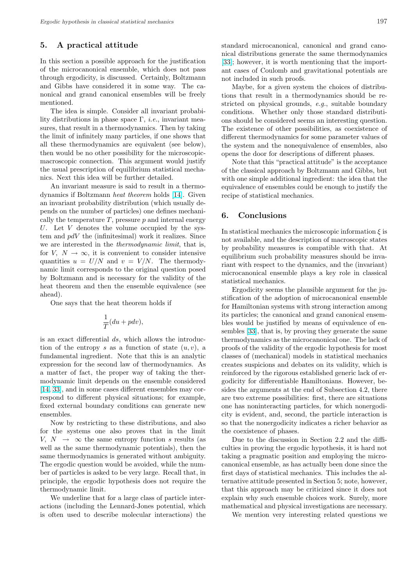## 5. A practical attitude

In this section a possible approach for the justification of the microcanonical ensemble, which does not pass through ergodicity, is discussed. Certainly, Boltzmann and Gibbs have considered it in some way. The canonical and grand canonical ensembles will be freely mentioned.

The idea is simple. Consider all invariant probability distributions in phase space  $\Gamma$ , *i.e.*, invariant measures, that result in a thermodynamics. Then by taking the limit of infinitely many particles, if one shows that all these thermodynamics are equivalent (see below), then would be no other possibility for the microscopicmacroscopic connection. This argument would justify the usual prescription of equilibrium statistical mechanics. Next this idea will be further detailed.

An invariant measure is said to result in a thermodynamics if Boltzmann heat theorem holds [14]. Given an invariant probability distribution (which usually depends on the number of particles) one defines mechanically the temperature  $T$ , pressure  $p$  and internal energy U. Let  $V$  denotes the volume occupied [by t](#page-11-0)he system and pdV the (infinitesimal) work it realizes. Since we are interested in the thermodynamic limit, that is, for V,  $N \to \infty$ , it is convenient to consider intensive quantities  $u = U/N$  and  $v = V/N$ . The thermodynamic limit corresponds to the original question posed by Boltzmann and is necessary for the validity of the heat theorem and then the ensemble equivalence (see ahead).

One says that the heat theorem holds if

$$
\frac{1}{T}(du + p dv),
$$

is an exact differential ds, which allows the introduction of the entropy s as a function of state  $(u, v)$ , a fundamental ingredient. Note that this is an analytic expression for the second law of thermodynamics. As a matter of fact, the proper way of taking the thermodynamic limit depends on the ensemble considered [14, 33], and in some cases different ensembles may correspond to different physical situations; for example, fixed external boundary conditions can generate new ensembles.

[Now](#page-12-0) by restricting to these distributions, and also for the systems one also proves that in the limit  $V, N \rightarrow \infty$  the same entropy function s results (as well as the same thermodynamic potentials), then the same thermodynamics is generated without ambiguity. The ergodic question would be avoided, while the number of particles is asked to be very large. Recall that, in principle, the ergodic hypothesis does not require the thermodynamic limit.

We underline that for a large class of particle interactions (including the Lennard-Jones potential, which is often used to describe molecular interactions) the standard microcanonical, canonical and grand canonical distributions generate the same thermodynamics [33]; however, it is worth mentioning that the important cases of Coulomb and gravitational potentials are not included in such proofs.

Maybe, for a given system the choices of distribu[tion](#page-12-0)s that result in a thermodynamics should be restricted on physical grounds, e.g., suitable boundary conditions. Whether only those standard distributions should be considered seems an interesting question. The existence of other possibilities, as coexistence of different thermodynamics for some parameter values of the system and the nonequivalence of ensembles, also opens the door for descriptions of different phases.

Note that this "practical attitude" is the acceptance of the classical approach by Boltzmann and Gibbs, but with one simple additional ingredient: the idea that the equivalence of ensembles could be enough to justify the recipe of statistical mechanics.

## 6. Conclusions

In statistical mechanics the microscopic information  $\xi$  is not available, and the description of macroscopic states by probability measures is compatible with that. At equilibrium such probability measures should be invariant with respect to the dynamics, and the (invariant) microcanonical ensemble plays a key role in classical statistical mechanics.

Ergodicity seems the plausible argument for the justification of the adoption of microcanonical ensemble for Hamiltonian systems with strong interaction among its particles; the canonical and grand canonical ensembles would be justified by means of equivalence of ensembles [33], that is, by proving they generate the same thermodynamics as the microcanonical one. The lack of proofs of the validity of the ergodic hypothesis for most classes of (mechanical) models in statistical mechanics creates s[usp](#page-12-0)icions and debates on its validity, which is reinforced by the rigorous established generic lack of ergodicity for differentiable Hamiltonians. However, besides the arguments at the end of Subsection 4.2, there are two extreme possibilities: first, there are situations one has noninteracting particles, for which nonergodicity is evident, and, second, the particle interaction is so that the nonergodicity indicates a richer behavior as the coexistence of phases.

Due to the discussion in Section 2.2 and the difficulties in proving the ergodic hypothesis, it is hard not taking a pragmatic position and employing the microcanonical ensemble, as has actually been done since the first days of statistical mechanics. This includes the alternative attitude presented in Section 5; note, however, that this approach may be criticized since it does not explain why such ensemble choices work. Surely, more mathematical and physical investigations are necessary.

We mention very interesting related questions we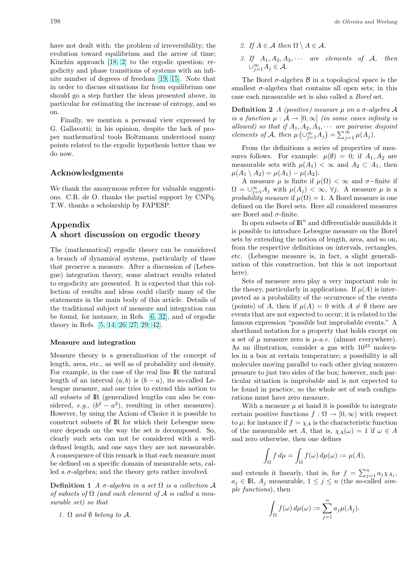have not dealt with: the problem of irreversibility; the evolution toward equilibrium and the arrow of time; Kinchin approach [18, 2] to the ergodic question; ergodicity and phase transitions of systems with an infinite number of degrees of freedom [19, 15]. Note that in order to discuss situations far from equilibrium one should go a step f[urther](#page-11-0) the ideas presented above, in particular for estimating the increase of entropy, and so on.

Finally, we mention a personal view expressed by G. Gallavotti; in his opinion, despite the lack of proper mathematical tools Boltzmann understood many points related to the ergodic hypothesis better than we do now.

## Acknowledgments

We thank the anonymous referee for valuable suggestions. C.R. de O. thanks the partial support by CNPq. T.W. thanks a scholarship by FAPESP.

# Appendix A short discussion on ergodic theory

The (mathematical) ergodic theory can be considered a branch of dynamical systems, particularly of those that preserve a measure. After a discussion of (Lebesgue) integration theory, some abstract results related to ergodicity are presented. It is expected that this collection of results and ideas could clarify many of the statements in the main body of this article. Details of the traditional subject of measure and integration can be found, for instance, in Refs. [6, 32], and of ergodic theory in Refs. [5, 14, 26, 27, 29, 42].

#### Measure and integration

Measure theory is a generalizat[ion](#page-11-0) [of](#page-12-0) the concept of length, area, etc[.,](#page-11-0) [as w](#page-11-0)[ell](#page-12-0) [as of proba](#page-12-0)bility and density. For example, in the case of the real line IR the natural length of an interval  $(a, b)$  is  $(b - a)$ , its so-called Lebesgue measure, and one tries to extend this notion to all subsets of IR (generalized lengths can also be considered, e.g.,  $(b^2 - a^2)$ , resulting in other measures). However, by using the Axiom of Choice it is possible to construct subsets of IR for which their Lebesgue measure depends on the way the set is decomposed. So, clearly such sets can not be considered with a welldefined length, and one says they are not measurable. A consequence of this remark is that each measure must be defined on a specific domain of measurable sets, called a  $\sigma$ -algebra; and the theory gets rather involved.

Definition 1 A  $\sigma$ -algebra in a set  $\Omega$  is a collection A of subsets of  $\Omega$  (and each element of A is called a measurable set) so that

1.  $\Omega$  and  $\emptyset$  belong to  $\mathcal{A}$ .

- 2. If  $A \in \mathcal{A}$  then  $\Omega \setminus A \in \mathcal{A}$ .
- 3. If  $A_1, A_2, A_3, \cdots$  are elements of A, then  $\cup_{j=1}^{\infty} A_j \in \mathcal{A}.$

The Borel  $\sigma$ -algebra  $\beta$  in a topological space is the smallest  $\sigma$ -algebra that contains all open sets; in this case each measurable set is also called a Borel set.

Definition 2 A (positive) measure  $\mu$  on a  $\sigma$ -algebra A is a function  $\mu : \mathcal{A} \to [0, \infty]$  (in some cases infinity is allowed) so that if  $A_1, A_2, A_3, \cdots$  are pairwise disjoint attowed) so that if  $A_1, A_2, A_3, \cdots$  are parriage<br>elements of A, then  $\mu(\bigcup_{j=1}^{\infty} A_j) = \sum_{j=1}^{\infty} \mu(A_j)$ .

From the definitions a series of properties of measures follows. For example:  $\mu(\emptyset) = 0$ ; if  $A_1, A_2$  are measurable sets with  $\mu(A_1) < \infty$  and  $A_2 \subset A_1$ , then  $\mu(A_1 \setminus A_2) = \mu(A_1) - \mu(A_2).$ 

A measure  $\mu$  is finite if  $\mu(\Omega) < \infty$  and  $\sigma$ -finite if  $\Omega = \bigcup_{j=1}^{\infty} A_j$  with  $\mu(A_j) < \infty$ ,  $\forall j$ . A measure  $\mu$  is a probability measure if  $\mu(\Omega) = 1$ . A Borel measure is one defined on the Borel sets. Here all considered measures are Borel and  $\sigma$ -finite.

In open subsets of  $\mathbb{R}^n$  and differentiable manifolds it is possible to introduce Lebesgue measure on the Borel sets by extending the notion of length, area, and so on, from the respective definitions on intervals, rectangles, etc. (Lebesgue measure is, in fact, a slight generalization of this construction, but this is not important here).

Sets of measure zero play a very important role in the theory, particularly in applications. If  $\mu(A)$  is interpreted as a probability of the occurrence of the events (points) of A, then if  $\mu(A) = 0$  with  $A \neq \emptyset$  there are events that are not expected to occur; it is related to the famous expression "possible but improbable events." A shorthand notation for a property that holds except on a set of  $\mu$  measure zero is  $\mu$ -a.e. (almost everywhere). As an illustration, consider a gas with  $10^{23}$  molecules in a box at certain temperature; a possibility is all molecules moving parallel to each other giving nonzero pressure to just two sides of the box; however, such particular situation is improbable and is not expected to be found in practice, so the whole set of such configurations must have zero measure.

With a measure  $\mu$  at hand it is possible to integrate certain positive functions  $f : \Omega \to [0, \infty)$  with respect to  $\mu$ ; for instance if  $f = \chi_A$  is the characteristic function of the measurable set A, that is,  $\chi_A(\omega) = 1$  if  $\omega \in A$ and zero otherwise, then one defines

$$
\int_{\Omega} f d\mu = \int_{\Omega} f(\omega) d\mu(\omega) := \mu(A),
$$

and extends it linearly, that is, for  $f = \sum_{j=1}^n a_j \chi_{A_j}$ ,  $a_j \in \mathbb{R}$ ,  $A_j$  measurable,  $1 \leq j \leq n$  (the so-called simple functions), then

$$
\int_{\Omega} f(\omega) d\mu(\omega) := \sum_{j=1}^{n} a_j \mu(A_j).
$$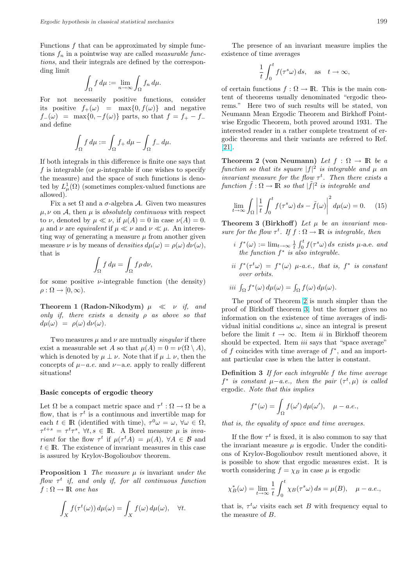<span id="page-10-0"></span>Functions  $f$  that can be approximated by simple functions  $f_n$  in a pointwise way are called *measurable func*tions, and their integrals are defined by the corresponding limit

$$
\int_{\Omega} f d\mu := \lim_{n \to \infty} \int_{\Omega} f_n d\mu.
$$

For not necessarily positive functions, consider its positive  $f_+(\omega) = \max\{0, f(\omega)\}\$ and negative  $f_-(\omega) = \max\{0, -f(\omega)\}\$ parts, so that  $f = f_+ - f_$ and define

$$
\int_{\Omega} f d\mu := \int_{\Omega} f_+ d\mu - \int_{\Omega} f_- d\mu.
$$

If both integrals in this difference is finite one says that f is integrable (or  $\mu$ -integrable if one wishes to specify the measure) and the space of such functions is denoted by  $L^1_\mu(\Omega)$  (sometimes complex-valued functions are allowed).

Fix a set  $\Omega$  and a  $\sigma$ -algebra A. Given two measures  $\mu, \nu$  on A, then  $\mu$  is absolutely continuous with respect to  $\nu$ , denoted by  $\mu \ll \nu$ , if  $\mu(A) = 0$  in case  $\nu(A) = 0$ .  $\mu$  and  $\nu$  are *equivalent* if  $\mu \ll \nu$  and  $\nu \ll \mu$ . An interesting way of generating a measure  $\mu$  from another given measure  $\nu$  is by means of *densities*  $d\mu(\omega) = \rho(\omega) d\nu(\omega)$ , that is

$$
\int_{\Omega} f d\mu = \int_{\Omega} f \rho d\nu,
$$

for some positive  $\nu$ -integrable function (the density)  $\rho : \Omega \to [0, \infty).$ 

Theorem 1 (Radon-Nikodym)  $\mu \ll \nu$  if, and only if, there exists a density  $\rho$  as above so that  $d\mu(\omega) = \rho(\omega) d\nu(\omega)$ .

Two measures  $\mu$  and  $\nu$  are mutually *singular* if there exist a measurable set A so that  $\mu(A) = 0 = \nu(\Omega \setminus A),$ which is denoted by  $\mu \perp \nu$ . Note that if  $\mu \perp \nu$ , then the concepts of  $\mu-a.e.$  and  $\nu-a.e.$  apply to really different situations!

#### Basic concepts of ergodic theory

Let  $\Omega$  be a compact metric space and  $\tau^t : \Omega \to \Omega$  be a flow, that is  $\tau^t$  is a continuous and invertible map for each  $t \in \mathbb{R}$  (identified with time),  $\tau^0 \omega = \omega$ ,  $\forall \omega \in \Omega$ ,  $\tau^{t+s} = \tau^t \tau^s$ ,  $\forall t, s \in \mathbb{R}$ . A Borel measure  $\mu$  is *invariant* for the flow  $\tau^t$  if  $\mu(\tau^t A) = \mu(A)$ ,  $\forall A \in \mathcal{B}$  and  $t \in \mathbb{R}$ . The existence of invariant measures in this case is assured by Krylov-Bogolioubov theorem.

**Proposition 1** The measure  $\mu$  is invariant under the flow  $\tau^t$  if, and only if, for all continuous function  $f : \Omega \to \mathbb{R}$  one has

$$
\int_X f(\tau^t(\omega)) d\mu(\omega) = \int_X f(\omega) d\mu(\omega), \quad \forall t.
$$

The presence of an invariant measure implies the existence of time averages

$$
\frac{1}{t} \int_0^t f(\tau^s \omega) \, ds, \quad \text{as} \quad t \to \infty,
$$

of certain functions  $f : \Omega \to \mathbb{R}$ . This is the main content of theorems usually denominated "ergodic theorems." Here two of such results will be stated, von Neumann Mean Ergodic Theorem and Birkhoff Pointwise Ergodic Theorem, both proved around 1931. The interested reader in a rather complete treatment of ergodic theorems and their variants are referred to Ref. [21].

Theorem 2 (von Neumann) Let  $f : \Omega \to \mathbb{R}$  be a function so that its square  $|f|^2$  is integrable and  $\mu$  and invariant measure for the flow  $\tau^t$ . Then there exists a [fun](#page-11-0)ction  $\tilde{f}: \Omega \to \mathbb{R}$  so that  $|\tilde{f}|^2$  is integrable and

$$
\lim_{t \to \infty} \int_{\Omega} \left| \frac{1}{t} \int_{0}^{t} f(\tau^{s} \omega) ds - \tilde{f}(\omega) \right|^{2} d\mu(\omega) = 0. \quad (15)
$$

Theorem 3 (Birkhoff) Let  $\mu$  be an invariant measure for the flow  $\tau^t$ . If  $f : \Omega \to \mathbb{R}$  is integrable, then

- $i f^*(\omega) := \lim_{t \to \infty} \frac{1}{t}$  $\int_0^t$  $\int_0^t f(\tau^s \omega) ds$  exists  $\mu$ -a.e. and the function  $f^*$  is also integrable.
- ii  $f^*(\tau^t\omega) = f^*(\omega)$   $\mu$ -a.e., that is,  $f^*$  is constant over orbits.
- iii  $\int_{\Omega} f^*(\omega) d\mu(\omega) = \int_{\Omega} f(\omega) d\mu(\omega)$ .

The proof of Theorem 2 is much simpler than the proof of Birkhoff theorem 3, but the former gives no information on the existence of time averages of individual initial conditions  $\omega$ , since an integral is present before the limit  $t \to \infty$ . Item is in Birkhoff theorem should be expected. Item *iii* says that "space average" of  $f$  coincides with time average of  $f^*$ , and an important particular case is when the latter is constant.

Definition 3 If for each integrable f the time average  $f^*$  is constant  $\mu-a.e.,$  then the pair  $(\tau^t, \mu)$  is called ergodic. Note that this implies

$$
f^*(\omega) = \int_{\Omega} f(\omega') d\mu(\omega'), \quad \mu - a.e.,
$$

that is, the equality of space and time averages.

If the flow  $\tau^t$  is fixed, it is also common to say that the invariant measure  $\mu$  is ergodic. Under the conditions of Krylov-Bogolioubov result mentioned above, it is possible to show that ergodic measures exist. It is worth considering  $f = \chi_B$  in case  $\mu$  is ergodic

$$
\chi_B^*(\omega) = \lim_{t \to \infty} \frac{1}{t} \int_0^t \chi_B(\tau^s \omega) \, ds = \mu(B), \quad \mu - a.e.,
$$

that is,  $\tau^t \omega$  visits each set B with frequency equal to the measure of B.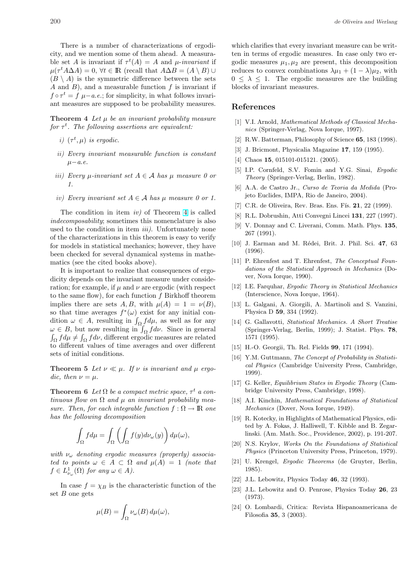<span id="page-11-0"></span>There is a number of characterizations of ergodicity, and we mention some of them ahead. A measurable set A is invariant if  $\tau^t(A) = A$  and  $\mu$ -invariant if  $\mu(\tau^t A \Delta A) = 0$ ,  $\forall t \in \mathbb{R}$  (recall that  $A \Delta B = (A \setminus B) \cup$  $(B \setminus A)$  is the symmetric difference between the sets A and  $B$ ), and a measurable function  $f$  is invariant if  $f \circ \tau^t = f \mu - a.e.$ ; for simplicity, in what follows invariant measures are supposed to be probability measures.

**Theorem 4** Let  $\mu$  be an invariant probability measure for  $\tau^t$ . The following assertions are equivalent:

- i)  $(\tau^t, \mu)$  is ergodic.
- ii) Every invariant measurable function is constant  $\mu-a.e.$
- iii) Every  $\mu$ -invariant set  $A \in \mathcal{A}$  has  $\mu$  measure 0 or 1.
- iv) Every invariant set  $A \in \mathcal{A}$  has  $\mu$  measure 0 or 1.

The condition in item  $iv$  of Theorem 4 is called indecomposability; sometimes this nomenclature is also used to the condition in item *iii*). Unfortunately none of the characterizations in this theorem is easy to verify for models in statistical mechanics; however, they have been checked for several dynamical systems in mathematics (see the cited books above).

It is important to realize that consequences of ergodicity depends on the invariant measure under consideration; for example, if  $\mu$  and  $\nu$  are ergodic (with respect to the same flow), for each function  $f$  Birkhoff theorem implies there are sets A, B, with  $\mu(A) = 1 = \nu(B)$ , so that time averages  $f^*(\omega)$  exist for any initial conso that time averages  $f'(\omega)$  exist for any initial condition  $\omega \in A$ , resulting in  $\int_{\Omega} f d\mu$ , as well as for any attion  $\omega \in A$ , resulting in  $\int_{\Omega} f d\mu$ , as well as for any  $\omega \in B$ , but now resulting in  $\int_{\Omega} f d\nu$ . Since in general  $\int_{\Omega} f d\mu \neq \int_{\Omega} f d\nu$ , different ergodic measures are related to different values of time averages and over different sets of initial conditions.

**Theorem 5** Let  $\nu \ll \mu$ . If  $\nu$  is invariant and  $\mu$  ergodic, then  $\nu = \mu$ .

**Theorem 6** Let  $\Omega$  be a compact metric space,  $\tau^t$  a continuous flow on  $\Omega$  and  $\mu$  an invariant probability measure. Then, for each integrable function  $f : \Omega \to \mathbb{R}$  one has the following decomposition

$$
\int_{\Omega} f d\mu = \int_{\Omega} \left( \int_{\Omega} f(y) d\nu_{\omega}(y) \right) d\mu(\omega),
$$

with  $\nu_{\omega}$  denoting ergodic measures (properly) associated to points  $\omega \in A \subset \Omega$  and  $\mu(A) = 1$  (note that  $f \in L^1_{\nu_\omega}(\Omega)$  for any  $\omega \in A$ ).

In case  $f = \chi_B$  is the characteristic function of the set B one gets

$$
\mu(B) = \int_{\Omega} \nu_{\omega}(B) d\mu(\omega),
$$

which clarifies that every invariant measure can be written in terms of ergodic measures. In case only two ergodic measures  $\mu_1, \mu_2$  are present, this decomposition reduces to convex combinations  $\lambda \mu_1 + (1 - \lambda) \mu_2$ , with  $0 \leq \lambda \leq 1$ . The ergodic measures are the building blocks of invariant measures.

## References

- [1] V.I. Arnold, Mathematical Methods of Classical Mechanics (Springer-Verlag, Nova Iorque, 1997).
- [2] R.W. Batterman, Philosophy of Science 65, 183 (1998).
- [3] J. Bricmont, Physicalia Magazine 17, 159 (1995).
- [4] Chaos **15**, 015101-015121. (2005).
- [5] I.P. Cornfeld, S.V. Fomin and Y.G. Sinai, Ergodic Theory (Springer-Verlag, Berlin, 1982).
- [6] A.A. de Castro Jr., Curso de Teoria da Medida (Projeto Euclides, IMPA, Rio de Janeiro, 2004).
- [7] C.R. de Oliveira, Rev. Bras. Ens. Fís.  $21, 22$  (1999).
- [8] R.L. Dobrushin, Atti Convegni Lincei 131, 227 (1997).
- [9] V. Donnay and C. Liverani, Comm. Math. Phys. 135, 267 (1991).
- [10] J. Earman and M. Rédei, Brit. J. Phil. Sci. 47, 63 (1996).
- [11] P. Ehrenfest and T. Ehrenfest, The Conceptual Foundations of the Statistical Approach in Mechanics (Dover, Nova Iorque, 1990).
- [12] I.E. Farquhar, Ergodic Theory in Statistical Mechanics (Interscience, Nova Iorque, 1964).
- [13] L. Galgani, A. Giorgili, A. Martinoli and S. Vanzini, Physica D 59, 334 (1992).
- [14] G. Gallavotti, Statistical Mechanics. A Short Treatise (Springer-Verlag, Berlin, 1999); J. Statist. Phys. 78, 1571 (1995).
- [15] H.-O. Georgii, Th. Rel. Fields 99, 171 (1994).
- [16] Y.M. Guttmann, The Concept of Probability in Statistical Physics (Cambridge University Press, Cambridge, 1999).
- [17] G. Keller, Equilibrium States in Ergodic Theory (Cambridge University Press, Cambridge, 1998).
- [18] A.I. Kinchin, *Mathematical Foundations of Statistical* Mechanics (Dover, Nova Iorque, 1949).
- [19] R. Kotecky, in Highlights of Mathematical Physics, edited by A. Fokas, J. Halliwell, T. Kibble and B. Zegarlinski. (Am. Math. Soc., Providence, 2002), p. 191-207.
- [20] N.S. Krylov, Works On the Foundations of Statistical Physics (Princeton University Press, Princeton, 1979).
- [21] U. Krengel, Ergodic Theorems (de Gruyter, Berlin, 1985).
- [22] J.L. Lebowitz, Physics Today 46, 32 (1993).
- [23] J.L. Lebowitz and O. Penrose, Physics Today 26, 23 (1973).
- [24] O. Lombardi, Critica: Revista Hispanoamericana de Filosofia 35, 3 (2003).